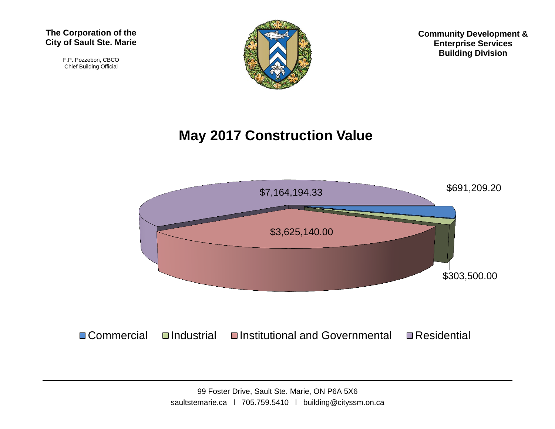#### **The Corporation of the City of Sault Ste. Marie**

F.P. Pozzebon, CBCO Chief Building Official



**Community Development & Enterprise Services Building Division**

# **May 2017 Construction Value**

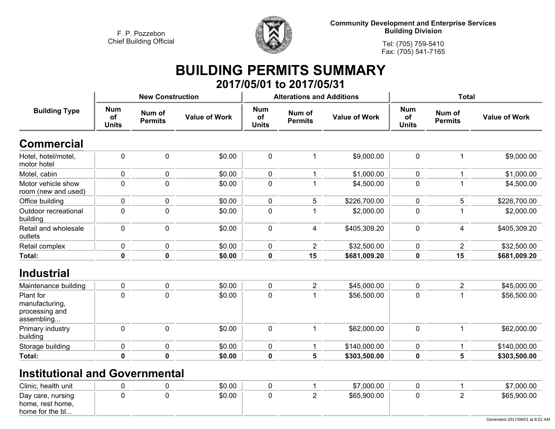

**Community Development and Enterprise Services Building Division**

**Tel: (705) 759-5410Fax: (705) 541-7165**

### **BUILDING PERMITS SUMMARY 2017/05/01 to 2017/05/31**

|                                                             |                                  | <b>New Construction</b>  |                      |                                  | <b>Alterations and Additions</b> |                      | <b>Total</b>                     |                          |                      |  |
|-------------------------------------------------------------|----------------------------------|--------------------------|----------------------|----------------------------------|----------------------------------|----------------------|----------------------------------|--------------------------|----------------------|--|
| <b>Building Type</b>                                        | <b>Num</b><br>of<br><b>Units</b> | Num of<br><b>Permits</b> | <b>Value of Work</b> | <b>Num</b><br>of<br><b>Units</b> | Num of<br><b>Permits</b>         | <b>Value of Work</b> | <b>Num</b><br>of<br><b>Units</b> | Num of<br><b>Permits</b> | <b>Value of Work</b> |  |
| <b>Commercial</b>                                           |                                  |                          |                      |                                  |                                  |                      |                                  |                          |                      |  |
| Hotel, hotel/motel,<br>motor hotel                          | $\pmb{0}$                        | $\pmb{0}$                | \$0.00               | $\mathbf 0$                      | 1                                | \$9,000.00           | $\mathbf 0$                      | 1                        | \$9,000.00           |  |
| Motel, cabin                                                | $\pmb{0}$                        | $\mathbf 0$              | \$0.00               | $\mathbf 0$                      | 1                                | \$1,000.00           | $\mathbf 0$                      | 1                        | \$1,000.00           |  |
| Motor vehicle show<br>room (new and used)                   | $\mathbf 0$                      | 0                        | \$0.00               | $\mathbf 0$                      |                                  | \$4,500.00           | 0                                |                          | \$4,500.00           |  |
| Office building                                             | $\mathbf 0$                      | 0                        | \$0.00               | $\mathbf 0$                      | 5                                | \$226,700.00         | 0                                | 5                        | \$226,700.00         |  |
| Outdoor recreational<br>building                            | $\mathbf 0$                      | 0                        | \$0.00               | $\mathbf 0$                      |                                  | \$2,000.00           | 0                                |                          | \$2,000.00           |  |
| Retail and wholesale<br>outlets                             | $\mathbf 0$                      | $\mathbf 0$              | \$0.00               | $\mathbf 0$                      | 4                                | \$405,309.20         | $\mathbf 0$                      | 4                        | \$405,309.20         |  |
| Retail complex                                              | $\pmb{0}$                        | 0                        | \$0.00               | $\mathbf 0$                      | $\overline{2}$                   | \$32,500.00          | 0                                | $\overline{2}$           | \$32,500.00          |  |
| Total:                                                      | $\pmb{0}$                        | $\mathbf 0$              | \$0.00               | $\pmb{0}$                        | 15                               | \$681,009.20         | $\mathbf 0$                      | 15                       | \$681,009.20         |  |
| <b>Industrial</b>                                           |                                  |                          |                      |                                  |                                  |                      |                                  |                          |                      |  |
| Maintenance building                                        | $\pmb{0}$                        | $\mathbf 0$              | \$0.00               | $\pmb{0}$                        | $\overline{2}$                   | \$45,000.00          | $\mathbf 0$                      | $\overline{2}$           | \$45,000.00          |  |
| Plant for<br>manufacturing,<br>processing and<br>assembling | $\mathbf 0$                      | $\mathbf{0}$             | \$0.00               | 0                                |                                  | \$56,500.00          | 0                                |                          | \$56,500.00          |  |
| Primary industry<br>building                                | $\mathbf 0$                      | $\mathbf 0$              | \$0.00               | $\mathbf 0$                      | 1                                | \$62,000.00          | $\mathbf 0$                      | 1                        | \$62,000.00          |  |
| Storage building                                            | $\pmb{0}$                        | 0                        | \$0.00               | $\pmb{0}$                        | 1                                | \$140,000.00         | 0                                | 1                        | \$140,000.00         |  |
| Total:                                                      | $\mathbf 0$                      | 0                        | \$0.00               | $\mathbf 0$                      | 5                                | \$303,500.00         | $\mathbf 0$                      | 5                        | \$303,500.00         |  |

# **Institutional and Governmental**

| Clinic, health unit                                      |  | \$0.00 |  | \$7,000.00  |  | $00.00$ .)  |
|----------------------------------------------------------|--|--------|--|-------------|--|-------------|
| Day care, nursing<br>home, rest home,<br>home for the bl |  | \$0.00 |  | \$65,900.00 |  | \$65,900.00 |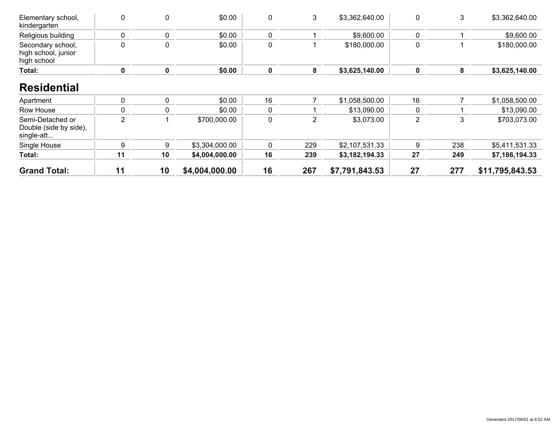| Elementary school,<br>kindergarten                       | $\mathbf 0$    | 0           | \$0.00         | 0           | 3              | \$3,362,640.00 | 0              | 3   | \$3,362,640.00  |
|----------------------------------------------------------|----------------|-------------|----------------|-------------|----------------|----------------|----------------|-----|-----------------|
| Religious building                                       | $\mathbf{0}$   | 0           | \$0.00         | 0           |                | \$9,600.00     | 0              |     | \$9,600.00      |
| Secondary school,<br>high school, junior<br>high school  | 0              | 0           | \$0.00         | 0           |                | \$180,000.00   | 0              |     | \$180,000.00    |
| Total:                                                   | 0              | $\mathbf 0$ | \$0.00         | $\mathbf 0$ | 8              | \$3,625,140.00 | 0              | 8   | \$3,625,140.00  |
| <b>Residential</b><br>Apartment                          | $\mathbf 0$    | 0           | \$0.00         | 16          |                | \$1,058,500.00 | 16             |     | \$1,058,500.00  |
| Row House                                                | $\mathbf{0}$   | 0           | \$0.00         | 0           |                | \$13,090.00    | 0              |     | \$13,090.00     |
| Semi-Detached or<br>Double (side by side),<br>single-att | $\overline{2}$ |             | \$700,000.00   | 0           | $\overline{2}$ | \$3,073.00     | $\overline{2}$ | 3   | \$703,073.00    |
| Single House                                             | 9              | 9           | \$3,304,000.00 | 0           | 229            | \$2,107,531.33 | 9              | 238 | \$5,411,531.33  |
| Total:                                                   | 11             | 10          | \$4,004,000.00 | 16          | 239            | \$3,182,194.33 | 27             | 249 | \$7,186,194.33  |
| <b>Grand Total:</b>                                      | 11             | 10          | \$4,004,000.00 | 16          | 267            | \$7,791,843.53 | 27             | 277 | \$11,795,843.53 |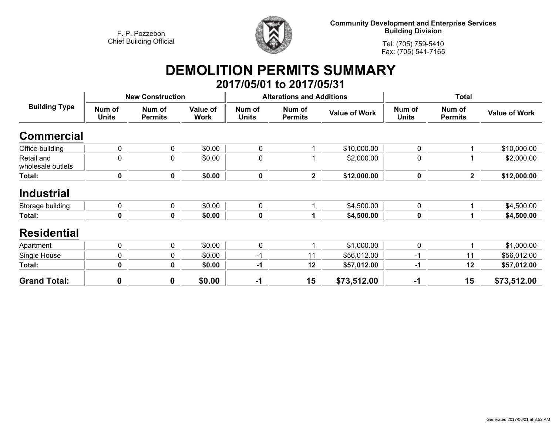

**Community Development and Enterprise Services Building Division**

**Tel: (705) 759-5410Fax: (705) 541-7165**

### **DEMOLITION PERMITS SUMMARY 2017/05/01 to 2017/05/31**

| <b>Building Type</b>            |                        | <b>New Construction</b>  |                         |                        | <b>Alterations and Additions</b> |                      |                        |                          |                      |
|---------------------------------|------------------------|--------------------------|-------------------------|------------------------|----------------------------------|----------------------|------------------------|--------------------------|----------------------|
|                                 | Num of<br><b>Units</b> | Num of<br><b>Permits</b> | Value of<br><b>Work</b> | Num of<br><b>Units</b> | Num of<br><b>Permits</b>         | <b>Value of Work</b> | Num of<br><b>Units</b> | Num of<br><b>Permits</b> | <b>Value of Work</b> |
| <b>Commercial</b>               |                        |                          |                         |                        |                                  |                      |                        |                          |                      |
| Office building                 | 0                      | 0                        | \$0.00                  | $\pmb{0}$              |                                  | \$10,000.00          | 0                      |                          | \$10,000.00          |
| Retail and<br>wholesale outlets | 0                      | $\overline{0}$           | \$0.00                  | 0                      |                                  | \$2,000.00           | 0                      |                          | \$2,000.00           |
| Total:                          | $\mathbf 0$            | 0                        | \$0.00                  | $\pmb{0}$              | $\overline{2}$                   | \$12,000.00          | $\pmb{0}$              | $\overline{2}$           | \$12,000.00          |
| <b>Industrial</b>               |                        |                          |                         |                        |                                  |                      |                        |                          |                      |
| Storage building                | 0                      | 0                        | \$0.00                  | $\mathbf 0$            |                                  | \$4,500.00           | 0                      |                          | \$4,500.00           |
| Total:                          | 0                      | 0                        | \$0.00                  | $\mathbf 0$            |                                  | \$4,500.00           | $\pmb{0}$              |                          | \$4,500.00           |
| <b>Residential</b>              |                        |                          |                         |                        |                                  |                      |                        |                          |                      |
| Apartment                       | $\pmb{0}$              | $\mathbf 0$              | \$0.00                  | $\pmb{0}$              |                                  | \$1,000.00           | $\mathbf 0$            |                          | \$1,000.00           |
| Single House                    | 0                      | $\mathbf{0}$             | \$0.00                  | $-1$                   | 11                               | \$56,012.00          | -1                     | 11                       | \$56,012.00          |
| Total:                          | 0                      | 0                        | \$0.00                  | $-1$                   | 12                               | \$57,012.00          | $-1$                   | 12                       | \$57,012.00          |
| <b>Grand Total:</b>             | $\boldsymbol{0}$       | $\mathbf 0$              | \$0.00                  | $-1$                   | 15                               | \$73,512.00          | $-1$                   | 15                       | \$73,512.00          |